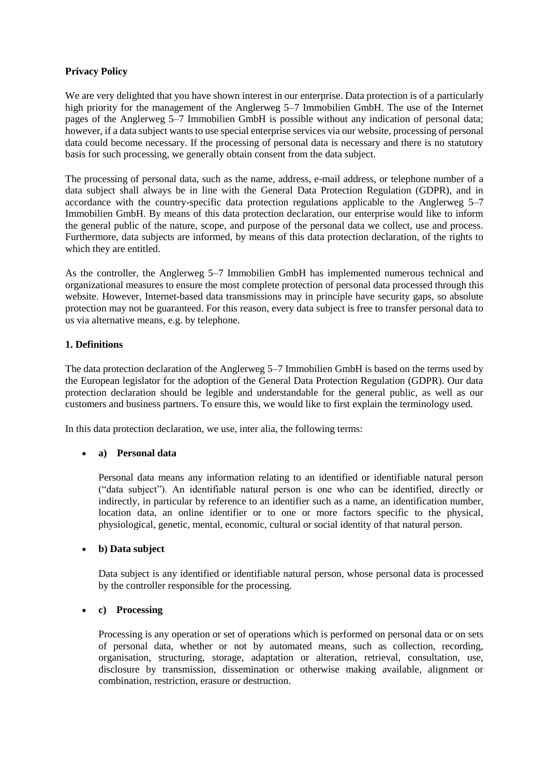# **Privacy Policy**

We are very delighted that you have shown interest in our enterprise. Data protection is of a particularly high priority for the management of the Anglerweg 5–7 Immobilien GmbH. The use of the Internet pages of the Anglerweg 5–7 Immobilien GmbH is possible without any indication of personal data; however, if a data subject wants to use special enterprise services via our website, processing of personal data could become necessary. If the processing of personal data is necessary and there is no statutory basis for such processing, we generally obtain consent from the data subject.

The processing of personal data, such as the name, address, e-mail address, or telephone number of a data subject shall always be in line with the General Data Protection Regulation (GDPR), and in accordance with the country-specific data protection regulations applicable to the Anglerweg 5–7 Immobilien GmbH. By means of this data protection declaration, our enterprise would like to inform the general public of the nature, scope, and purpose of the personal data we collect, use and process. Furthermore, data subjects are informed, by means of this data protection declaration, of the rights to which they are entitled.

As the controller, the Anglerweg 5–7 Immobilien GmbH has implemented numerous technical and organizational measures to ensure the most complete protection of personal data processed through this website. However, Internet-based data transmissions may in principle have security gaps, so absolute protection may not be guaranteed. For this reason, every data subject is free to transfer personal data to us via alternative means, e.g. by telephone.

# **1. Definitions**

The data protection declaration of the Anglerweg 5–7 Immobilien GmbH is based on the terms used by the European legislator for the adoption of the General Data Protection Regulation (GDPR). Our data protection declaration should be legible and understandable for the general public, as well as our customers and business partners. To ensure this, we would like to first explain the terminology used.

In this data protection declaration, we use, inter alia, the following terms:

#### • **a) Personal data**

Personal data means any information relating to an identified or identifiable natural person ("data subject"). An identifiable natural person is one who can be identified, directly or indirectly, in particular by reference to an identifier such as a name, an identification number, location data, an online identifier or to one or more factors specific to the physical, physiological, genetic, mental, economic, cultural or social identity of that natural person.

#### • **b) Data subject**

Data subject is any identified or identifiable natural person, whose personal data is processed by the controller responsible for the processing.

## • **c) Processing**

Processing is any operation or set of operations which is performed on personal data or on sets of personal data, whether or not by automated means, such as collection, recording, organisation, structuring, storage, adaptation or alteration, retrieval, consultation, use, disclosure by transmission, dissemination or otherwise making available, alignment or combination, restriction, erasure or destruction.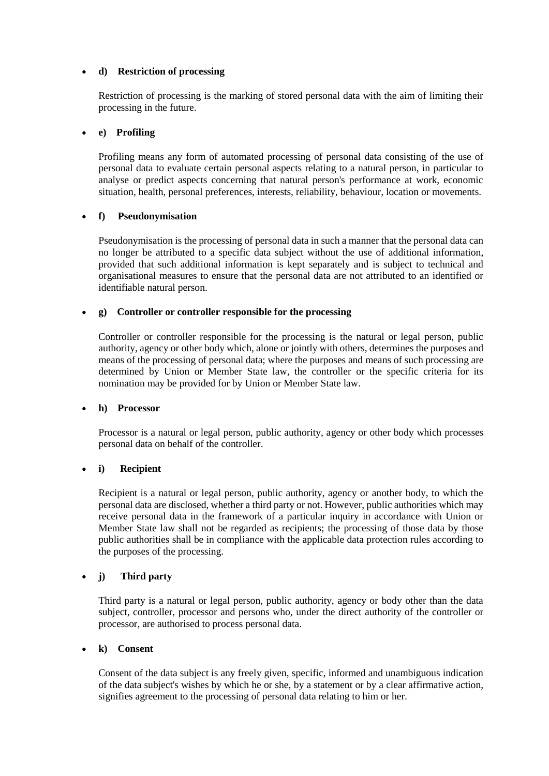## • **d) Restriction of processing**

Restriction of processing is the marking of stored personal data with the aim of limiting their processing in the future.

### • **e) Profiling**

Profiling means any form of automated processing of personal data consisting of the use of personal data to evaluate certain personal aspects relating to a natural person, in particular to analyse or predict aspects concerning that natural person's performance at work, economic situation, health, personal preferences, interests, reliability, behaviour, location or movements.

## • **f) Pseudonymisation**

Pseudonymisation is the processing of personal data in such a manner that the personal data can no longer be attributed to a specific data subject without the use of additional information, provided that such additional information is kept separately and is subject to technical and organisational measures to ensure that the personal data are not attributed to an identified or identifiable natural person.

## • **g) Controller or controller responsible for the processing**

Controller or controller responsible for the processing is the natural or legal person, public authority, agency or other body which, alone or jointly with others, determines the purposes and means of the processing of personal data; where the purposes and means of such processing are determined by Union or Member State law, the controller or the specific criteria for its nomination may be provided for by Union or Member State law.

#### • **h) Processor**

Processor is a natural or legal person, public authority, agency or other body which processes personal data on behalf of the controller.

#### • **i) Recipient**

Recipient is a natural or legal person, public authority, agency or another body, to which the personal data are disclosed, whether a third party or not. However, public authorities which may receive personal data in the framework of a particular inquiry in accordance with Union or Member State law shall not be regarded as recipients; the processing of those data by those public authorities shall be in compliance with the applicable data protection rules according to the purposes of the processing.

#### • **j) Third party**

Third party is a natural or legal person, public authority, agency or body other than the data subject, controller, processor and persons who, under the direct authority of the controller or processor, are authorised to process personal data.

#### • **k) Consent**

Consent of the data subject is any freely given, specific, informed and unambiguous indication of the data subject's wishes by which he or she, by a statement or by a clear affirmative action, signifies agreement to the processing of personal data relating to him or her.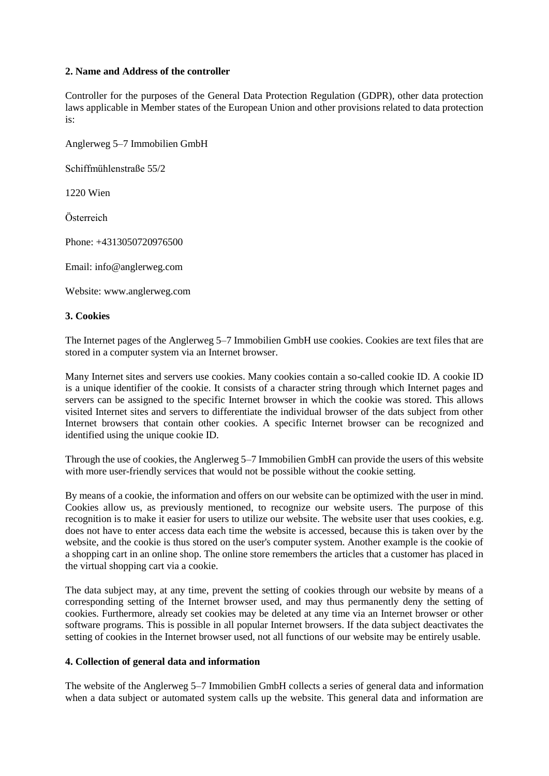## **2. Name and Address of the controller**

Controller for the purposes of the General Data Protection Regulation (GDPR), other data protection laws applicable in Member states of the European Union and other provisions related to data protection is:

Anglerweg 5–7 Immobilien GmbH

Schiffmühlenstraße 55/2

1220 Wien

Österreich

Phone: +4313050720976500

Email: info@anglerweg.com

Website: www.anglerweg.com

#### **3. Cookies**

The Internet pages of the Anglerweg 5–7 Immobilien GmbH use cookies. Cookies are text files that are stored in a computer system via an Internet browser.

Many Internet sites and servers use cookies. Many cookies contain a so-called cookie ID. A cookie ID is a unique identifier of the cookie. It consists of a character string through which Internet pages and servers can be assigned to the specific Internet browser in which the cookie was stored. This allows visited Internet sites and servers to differentiate the individual browser of the dats subject from other Internet browsers that contain other cookies. A specific Internet browser can be recognized and identified using the unique cookie ID.

Through the use of cookies, the Anglerweg 5–7 Immobilien GmbH can provide the users of this website with more user-friendly services that would not be possible without the cookie setting.

By means of a cookie, the information and offers on our website can be optimized with the user in mind. Cookies allow us, as previously mentioned, to recognize our website users. The purpose of this recognition is to make it easier for users to utilize our website. The website user that uses cookies, e.g. does not have to enter access data each time the website is accessed, because this is taken over by the website, and the cookie is thus stored on the user's computer system. Another example is the cookie of a shopping cart in an online shop. The online store remembers the articles that a customer has placed in the virtual shopping cart via a cookie.

The data subject may, at any time, prevent the setting of cookies through our website by means of a corresponding setting of the Internet browser used, and may thus permanently deny the setting of cookies. Furthermore, already set cookies may be deleted at any time via an Internet browser or other software programs. This is possible in all popular Internet browsers. If the data subject deactivates the setting of cookies in the Internet browser used, not all functions of our website may be entirely usable.

### **4. Collection of general data and information**

The website of the Anglerweg 5–7 Immobilien GmbH collects a series of general data and information when a data subject or automated system calls up the website. This general data and information are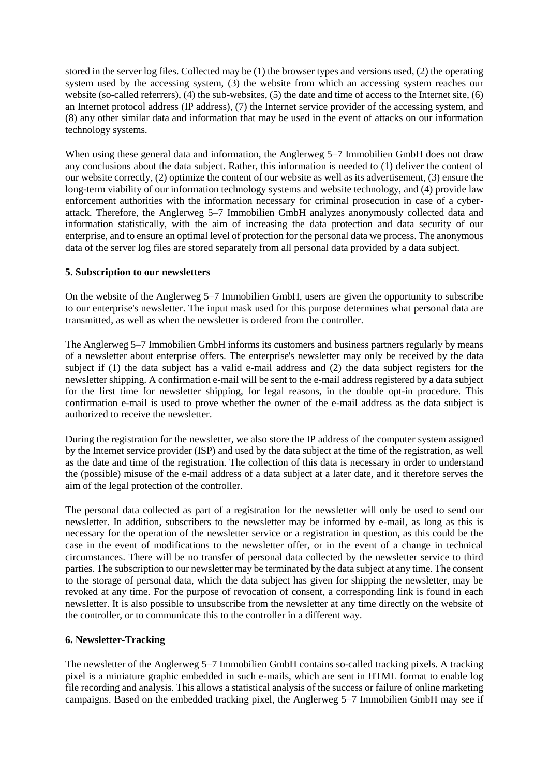stored in the server log files. Collected may be (1) the browser types and versions used, (2) the operating system used by the accessing system, (3) the website from which an accessing system reaches our website (so-called referrers), (4) the sub-websites, (5) the date and time of access to the Internet site, (6) an Internet protocol address (IP address), (7) the Internet service provider of the accessing system, and (8) any other similar data and information that may be used in the event of attacks on our information technology systems.

When using these general data and information, the Anglerweg 5–7 Immobilien GmbH does not draw any conclusions about the data subject. Rather, this information is needed to (1) deliver the content of our website correctly, (2) optimize the content of our website as well as its advertisement, (3) ensure the long-term viability of our information technology systems and website technology, and (4) provide law enforcement authorities with the information necessary for criminal prosecution in case of a cyberattack. Therefore, the Anglerweg 5–7 Immobilien GmbH analyzes anonymously collected data and information statistically, with the aim of increasing the data protection and data security of our enterprise, and to ensure an optimal level of protection for the personal data we process. The anonymous data of the server log files are stored separately from all personal data provided by a data subject.

## **5. Subscription to our newsletters**

On the website of the Anglerweg 5–7 Immobilien GmbH, users are given the opportunity to subscribe to our enterprise's newsletter. The input mask used for this purpose determines what personal data are transmitted, as well as when the newsletter is ordered from the controller.

The Anglerweg 5–7 Immobilien GmbH informs its customers and business partners regularly by means of a newsletter about enterprise offers. The enterprise's newsletter may only be received by the data subject if (1) the data subject has a valid e-mail address and (2) the data subject registers for the newsletter shipping. A confirmation e-mail will be sent to the e-mail address registered by a data subject for the first time for newsletter shipping, for legal reasons, in the double opt-in procedure. This confirmation e-mail is used to prove whether the owner of the e-mail address as the data subject is authorized to receive the newsletter.

During the registration for the newsletter, we also store the IP address of the computer system assigned by the Internet service provider (ISP) and used by the data subject at the time of the registration, as well as the date and time of the registration. The collection of this data is necessary in order to understand the (possible) misuse of the e-mail address of a data subject at a later date, and it therefore serves the aim of the legal protection of the controller.

The personal data collected as part of a registration for the newsletter will only be used to send our newsletter. In addition, subscribers to the newsletter may be informed by e-mail, as long as this is necessary for the operation of the newsletter service or a registration in question, as this could be the case in the event of modifications to the newsletter offer, or in the event of a change in technical circumstances. There will be no transfer of personal data collected by the newsletter service to third parties. The subscription to our newsletter may be terminated by the data subject at any time. The consent to the storage of personal data, which the data subject has given for shipping the newsletter, may be revoked at any time. For the purpose of revocation of consent, a corresponding link is found in each newsletter. It is also possible to unsubscribe from the newsletter at any time directly on the website of the controller, or to communicate this to the controller in a different way.

## **6. Newsletter-Tracking**

The newsletter of the Anglerweg 5–7 Immobilien GmbH contains so-called tracking pixels. A tracking pixel is a miniature graphic embedded in such e-mails, which are sent in HTML format to enable log file recording and analysis. This allows a statistical analysis of the success or failure of online marketing campaigns. Based on the embedded tracking pixel, the Anglerweg 5–7 Immobilien GmbH may see if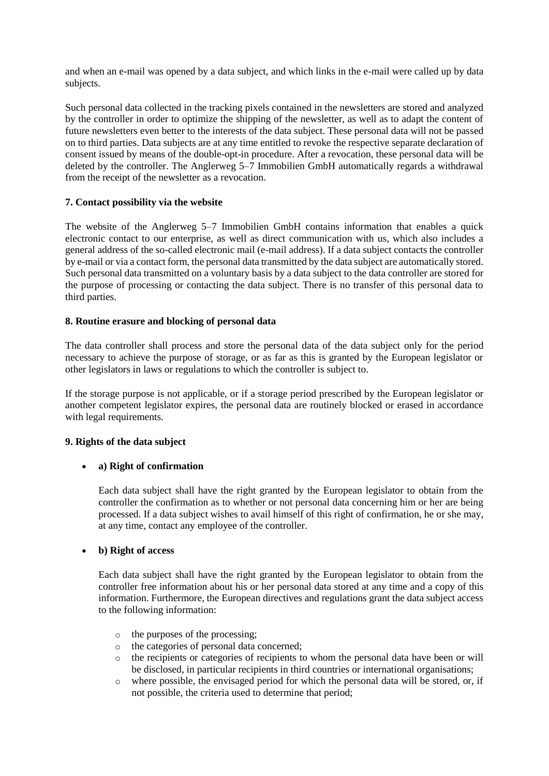and when an e-mail was opened by a data subject, and which links in the e-mail were called up by data subjects.

Such personal data collected in the tracking pixels contained in the newsletters are stored and analyzed by the controller in order to optimize the shipping of the newsletter, as well as to adapt the content of future newsletters even better to the interests of the data subject. These personal data will not be passed on to third parties. Data subjects are at any time entitled to revoke the respective separate declaration of consent issued by means of the double-opt-in procedure. After a revocation, these personal data will be deleted by the controller. The Anglerweg 5–7 Immobilien GmbH automatically regards a withdrawal from the receipt of the newsletter as a revocation.

## **7. Contact possibility via the website**

The website of the Anglerweg 5–7 Immobilien GmbH contains information that enables a quick electronic contact to our enterprise, as well as direct communication with us, which also includes a general address of the so-called electronic mail (e-mail address). If a data subject contacts the controller by e-mail or via a contact form, the personal data transmitted by the data subject are automatically stored. Such personal data transmitted on a voluntary basis by a data subject to the data controller are stored for the purpose of processing or contacting the data subject. There is no transfer of this personal data to third parties.

### **8. Routine erasure and blocking of personal data**

The data controller shall process and store the personal data of the data subject only for the period necessary to achieve the purpose of storage, or as far as this is granted by the European legislator or other legislators in laws or regulations to which the controller is subject to.

If the storage purpose is not applicable, or if a storage period prescribed by the European legislator or another competent legislator expires, the personal data are routinely blocked or erased in accordance with legal requirements.

#### **9. Rights of the data subject**

#### • **a) Right of confirmation**

Each data subject shall have the right granted by the European legislator to obtain from the controller the confirmation as to whether or not personal data concerning him or her are being processed. If a data subject wishes to avail himself of this right of confirmation, he or she may, at any time, contact any employee of the controller.

#### • **b) Right of access**

Each data subject shall have the right granted by the European legislator to obtain from the controller free information about his or her personal data stored at any time and a copy of this information. Furthermore, the European directives and regulations grant the data subject access to the following information:

- o the purposes of the processing;
- o the categories of personal data concerned;
- o the recipients or categories of recipients to whom the personal data have been or will be disclosed, in particular recipients in third countries or international organisations;
- o where possible, the envisaged period for which the personal data will be stored, or, if not possible, the criteria used to determine that period;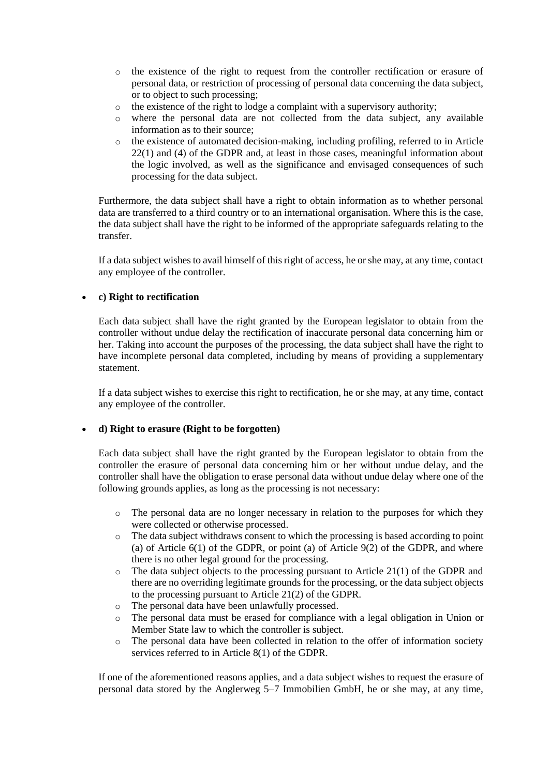- o the existence of the right to request from the controller rectification or erasure of personal data, or restriction of processing of personal data concerning the data subject, or to object to such processing;
- o the existence of the right to lodge a complaint with a supervisory authority;
- o where the personal data are not collected from the data subject, any available information as to their source;
- o the existence of automated decision-making, including profiling, referred to in Article 22(1) and (4) of the GDPR and, at least in those cases, meaningful information about the logic involved, as well as the significance and envisaged consequences of such processing for the data subject.

Furthermore, the data subject shall have a right to obtain information as to whether personal data are transferred to a third country or to an international organisation. Where this is the case, the data subject shall have the right to be informed of the appropriate safeguards relating to the transfer.

If a data subject wishes to avail himself of this right of access, he or she may, at any time, contact any employee of the controller.

## • **c) Right to rectification**

Each data subject shall have the right granted by the European legislator to obtain from the controller without undue delay the rectification of inaccurate personal data concerning him or her. Taking into account the purposes of the processing, the data subject shall have the right to have incomplete personal data completed, including by means of providing a supplementary statement.

If a data subject wishes to exercise this right to rectification, he or she may, at any time, contact any employee of the controller.

# • **d) Right to erasure (Right to be forgotten)**

Each data subject shall have the right granted by the European legislator to obtain from the controller the erasure of personal data concerning him or her without undue delay, and the controller shall have the obligation to erase personal data without undue delay where one of the following grounds applies, as long as the processing is not necessary:

- o The personal data are no longer necessary in relation to the purposes for which they were collected or otherwise processed.
- o The data subject withdraws consent to which the processing is based according to point (a) of Article 6(1) of the GDPR, or point (a) of Article 9(2) of the GDPR, and where there is no other legal ground for the processing.
- $\circ$  The data subject objects to the processing pursuant to Article 21(1) of the GDPR and there are no overriding legitimate grounds for the processing, or the data subject objects to the processing pursuant to Article 21(2) of the GDPR.
- o The personal data have been unlawfully processed.
- o The personal data must be erased for compliance with a legal obligation in Union or Member State law to which the controller is subject.
- o The personal data have been collected in relation to the offer of information society services referred to in Article 8(1) of the GDPR.

If one of the aforementioned reasons applies, and a data subject wishes to request the erasure of personal data stored by the Anglerweg 5–7 Immobilien GmbH, he or she may, at any time,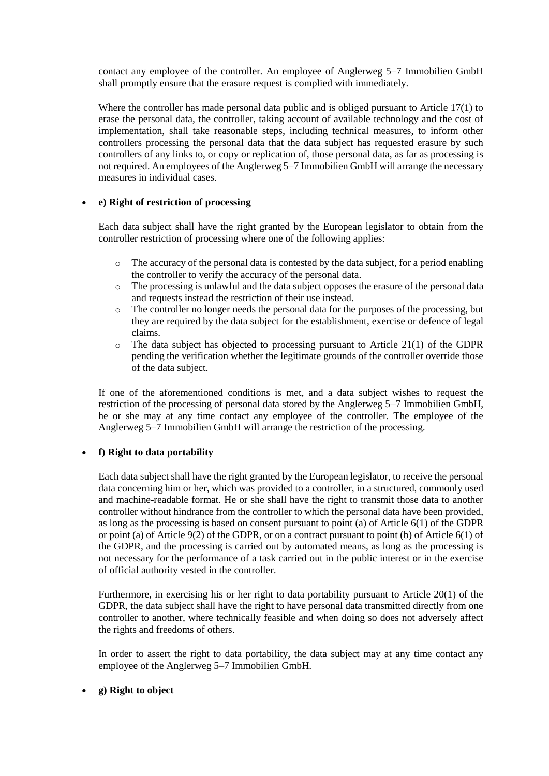contact any employee of the controller. An employee of Anglerweg 5–7 Immobilien GmbH shall promptly ensure that the erasure request is complied with immediately.

Where the controller has made personal data public and is obliged pursuant to Article 17(1) to erase the personal data, the controller, taking account of available technology and the cost of implementation, shall take reasonable steps, including technical measures, to inform other controllers processing the personal data that the data subject has requested erasure by such controllers of any links to, or copy or replication of, those personal data, as far as processing is not required. An employees of the Anglerweg 5–7 Immobilien GmbH will arrange the necessary measures in individual cases.

## • **e) Right of restriction of processing**

Each data subject shall have the right granted by the European legislator to obtain from the controller restriction of processing where one of the following applies:

- $\circ$  The accuracy of the personal data is contested by the data subject, for a period enabling the controller to verify the accuracy of the personal data.
- o The processing is unlawful and the data subject opposes the erasure of the personal data and requests instead the restriction of their use instead.
- $\circ$  The controller no longer needs the personal data for the purposes of the processing, but they are required by the data subject for the establishment, exercise or defence of legal claims.
- $\circ$  The data subject has objected to processing pursuant to Article 21(1) of the GDPR pending the verification whether the legitimate grounds of the controller override those of the data subject.

If one of the aforementioned conditions is met, and a data subject wishes to request the restriction of the processing of personal data stored by the Anglerweg 5–7 Immobilien GmbH, he or she may at any time contact any employee of the controller. The employee of the Anglerweg 5–7 Immobilien GmbH will arrange the restriction of the processing.

#### • **f) Right to data portability**

Each data subject shall have the right granted by the European legislator, to receive the personal data concerning him or her, which was provided to a controller, in a structured, commonly used and machine-readable format. He or she shall have the right to transmit those data to another controller without hindrance from the controller to which the personal data have been provided, as long as the processing is based on consent pursuant to point (a) of Article 6(1) of the GDPR or point (a) of Article 9(2) of the GDPR, or on a contract pursuant to point (b) of Article 6(1) of the GDPR, and the processing is carried out by automated means, as long as the processing is not necessary for the performance of a task carried out in the public interest or in the exercise of official authority vested in the controller.

Furthermore, in exercising his or her right to data portability pursuant to Article 20(1) of the GDPR, the data subject shall have the right to have personal data transmitted directly from one controller to another, where technically feasible and when doing so does not adversely affect the rights and freedoms of others.

In order to assert the right to data portability, the data subject may at any time contact any employee of the Anglerweg 5–7 Immobilien GmbH.

#### • **g) Right to object**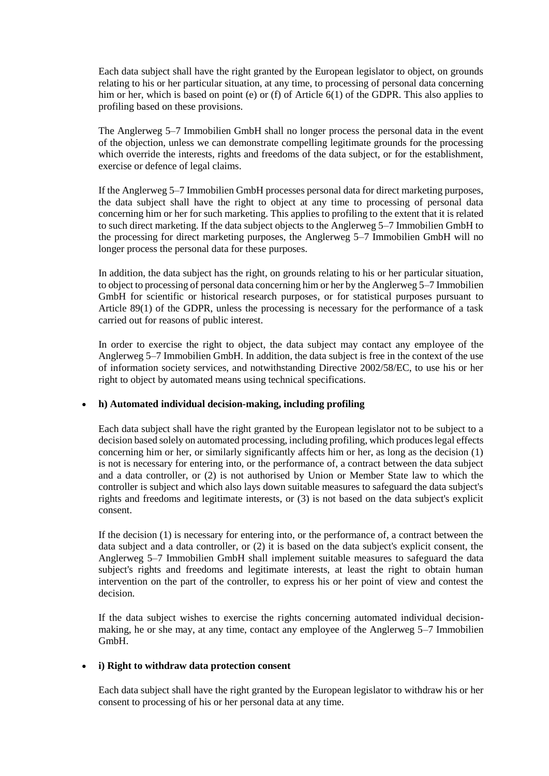Each data subject shall have the right granted by the European legislator to object, on grounds relating to his or her particular situation, at any time, to processing of personal data concerning him or her, which is based on point (e) or (f) of Article 6(1) of the GDPR. This also applies to profiling based on these provisions.

The Anglerweg 5–7 Immobilien GmbH shall no longer process the personal data in the event of the objection, unless we can demonstrate compelling legitimate grounds for the processing which override the interests, rights and freedoms of the data subject, or for the establishment, exercise or defence of legal claims.

If the Anglerweg 5–7 Immobilien GmbH processes personal data for direct marketing purposes, the data subject shall have the right to object at any time to processing of personal data concerning him or her for such marketing. This applies to profiling to the extent that it is related to such direct marketing. If the data subject objects to the Anglerweg 5–7 Immobilien GmbH to the processing for direct marketing purposes, the Anglerweg 5–7 Immobilien GmbH will no longer process the personal data for these purposes.

In addition, the data subject has the right, on grounds relating to his or her particular situation, to object to processing of personal data concerning him or her by the Anglerweg 5–7 Immobilien GmbH for scientific or historical research purposes, or for statistical purposes pursuant to Article 89(1) of the GDPR, unless the processing is necessary for the performance of a task carried out for reasons of public interest.

In order to exercise the right to object, the data subject may contact any employee of the Anglerweg 5–7 Immobilien GmbH. In addition, the data subject is free in the context of the use of information society services, and notwithstanding Directive 2002/58/EC, to use his or her right to object by automated means using technical specifications.

#### • **h) Automated individual decision-making, including profiling**

Each data subject shall have the right granted by the European legislator not to be subject to a decision based solely on automated processing, including profiling, which produces legal effects concerning him or her, or similarly significantly affects him or her, as long as the decision (1) is not is necessary for entering into, or the performance of, a contract between the data subject and a data controller, or (2) is not authorised by Union or Member State law to which the controller is subject and which also lays down suitable measures to safeguard the data subject's rights and freedoms and legitimate interests, or (3) is not based on the data subject's explicit consent.

If the decision (1) is necessary for entering into, or the performance of, a contract between the data subject and a data controller, or (2) it is based on the data subject's explicit consent, the Anglerweg 5–7 Immobilien GmbH shall implement suitable measures to safeguard the data subject's rights and freedoms and legitimate interests, at least the right to obtain human intervention on the part of the controller, to express his or her point of view and contest the decision.

If the data subject wishes to exercise the rights concerning automated individual decisionmaking, he or she may, at any time, contact any employee of the Anglerweg 5–7 Immobilien GmbH.

#### • **i) Right to withdraw data protection consent**

Each data subject shall have the right granted by the European legislator to withdraw his or her consent to processing of his or her personal data at any time.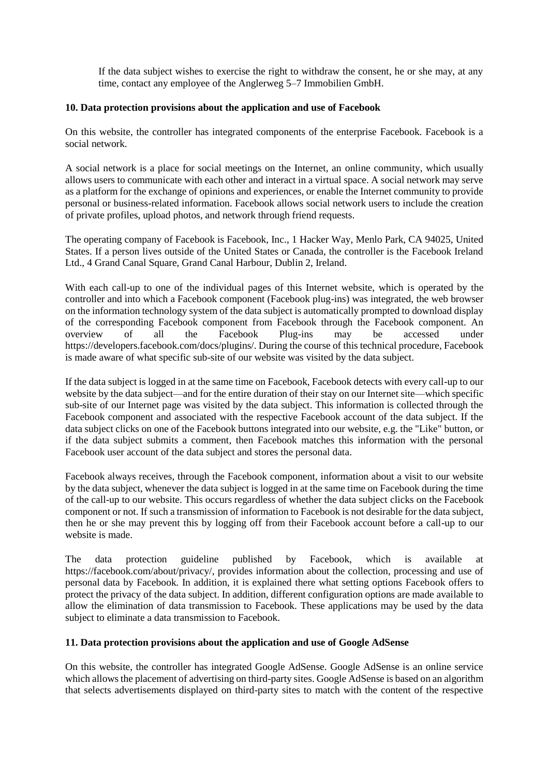If the data subject wishes to exercise the right to withdraw the consent, he or she may, at any time, contact any employee of the Anglerweg 5–7 Immobilien GmbH.

### **10. Data protection provisions about the application and use of Facebook**

On this website, the controller has integrated components of the enterprise Facebook. Facebook is a social network.

A social network is a place for social meetings on the Internet, an online community, which usually allows users to communicate with each other and interact in a virtual space. A social network may serve as a platform for the exchange of opinions and experiences, or enable the Internet community to provide personal or business-related information. Facebook allows social network users to include the creation of private profiles, upload photos, and network through friend requests.

The operating company of Facebook is Facebook, Inc., 1 Hacker Way, Menlo Park, CA 94025, United States. If a person lives outside of the United States or Canada, the controller is the Facebook Ireland Ltd., 4 Grand Canal Square, Grand Canal Harbour, Dublin 2, Ireland.

With each call-up to one of the individual pages of this Internet website, which is operated by the controller and into which a Facebook component (Facebook plug-ins) was integrated, the web browser on the information technology system of the data subject is automatically prompted to download display of the corresponding Facebook component from Facebook through the Facebook component. An overview of all the Facebook Plug-ins may be accessed under https://developers.facebook.com/docs/plugins/. During the course of this technical procedure, Facebook is made aware of what specific sub-site of our website was visited by the data subject.

If the data subject is logged in at the same time on Facebook, Facebook detects with every call-up to our website by the data subject—and for the entire duration of their stay on our Internet site—which specific sub-site of our Internet page was visited by the data subject. This information is collected through the Facebook component and associated with the respective Facebook account of the data subject. If the data subject clicks on one of the Facebook buttons integrated into our website, e.g. the "Like" button, or if the data subject submits a comment, then Facebook matches this information with the personal Facebook user account of the data subject and stores the personal data.

Facebook always receives, through the Facebook component, information about a visit to our website by the data subject, whenever the data subject is logged in at the same time on Facebook during the time of the call-up to our website. This occurs regardless of whether the data subject clicks on the Facebook component or not. If such a transmission of information to Facebook is not desirable for the data subject, then he or she may prevent this by logging off from their Facebook account before a call-up to our website is made.

The data protection guideline published by Facebook, which is available at https://facebook.com/about/privacy/, provides information about the collection, processing and use of personal data by Facebook. In addition, it is explained there what setting options Facebook offers to protect the privacy of the data subject. In addition, different configuration options are made available to allow the elimination of data transmission to Facebook. These applications may be used by the data subject to eliminate a data transmission to Facebook.

### **11. Data protection provisions about the application and use of Google AdSense**

On this website, the controller has integrated Google AdSense. Google AdSense is an online service which allows the placement of advertising on third-party sites. Google AdSense is based on an algorithm that selects advertisements displayed on third-party sites to match with the content of the respective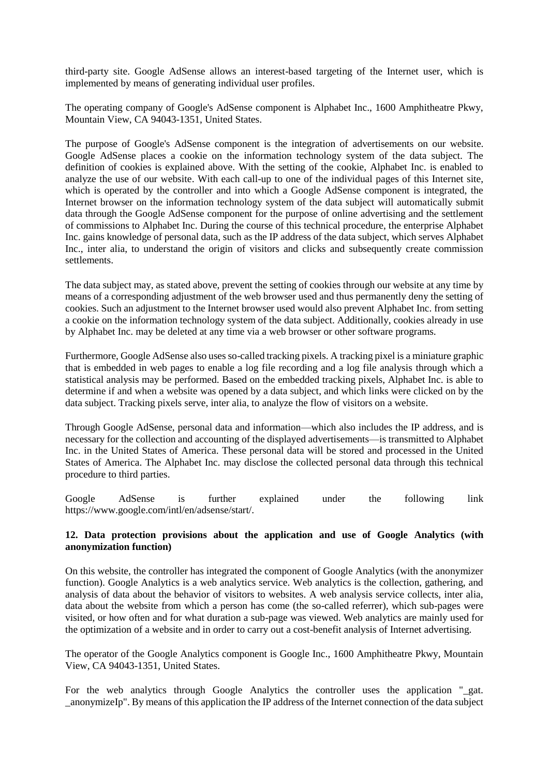third-party site. Google AdSense allows an interest-based targeting of the Internet user, which is implemented by means of generating individual user profiles.

The operating company of Google's AdSense component is Alphabet Inc., 1600 Amphitheatre Pkwy, Mountain View, CA 94043-1351, United States.

The purpose of Google's AdSense component is the integration of advertisements on our website. Google AdSense places a cookie on the information technology system of the data subject. The definition of cookies is explained above. With the setting of the cookie, Alphabet Inc. is enabled to analyze the use of our website. With each call-up to one of the individual pages of this Internet site, which is operated by the controller and into which a Google AdSense component is integrated, the Internet browser on the information technology system of the data subject will automatically submit data through the Google AdSense component for the purpose of online advertising and the settlement of commissions to Alphabet Inc. During the course of this technical procedure, the enterprise Alphabet Inc. gains knowledge of personal data, such as the IP address of the data subject, which serves Alphabet Inc., inter alia, to understand the origin of visitors and clicks and subsequently create commission settlements.

The data subject may, as stated above, prevent the setting of cookies through our website at any time by means of a corresponding adjustment of the web browser used and thus permanently deny the setting of cookies. Such an adjustment to the Internet browser used would also prevent Alphabet Inc. from setting a cookie on the information technology system of the data subject. Additionally, cookies already in use by Alphabet Inc. may be deleted at any time via a web browser or other software programs.

Furthermore, Google AdSense also uses so-called tracking pixels. A tracking pixel is a miniature graphic that is embedded in web pages to enable a log file recording and a log file analysis through which a statistical analysis may be performed. Based on the embedded tracking pixels, Alphabet Inc. is able to determine if and when a website was opened by a data subject, and which links were clicked on by the data subject. Tracking pixels serve, inter alia, to analyze the flow of visitors on a website.

Through Google AdSense, personal data and information—which also includes the IP address, and is necessary for the collection and accounting of the displayed advertisements—is transmitted to Alphabet Inc. in the United States of America. These personal data will be stored and processed in the United States of America. The Alphabet Inc. may disclose the collected personal data through this technical procedure to third parties.

Google AdSense is further explained under the following link https://www.google.com/intl/en/adsense/start/.

## **12. Data protection provisions about the application and use of Google Analytics (with anonymization function)**

On this website, the controller has integrated the component of Google Analytics (with the anonymizer function). Google Analytics is a web analytics service. Web analytics is the collection, gathering, and analysis of data about the behavior of visitors to websites. A web analysis service collects, inter alia, data about the website from which a person has come (the so-called referrer), which sub-pages were visited, or how often and for what duration a sub-page was viewed. Web analytics are mainly used for the optimization of a website and in order to carry out a cost-benefit analysis of Internet advertising.

The operator of the Google Analytics component is Google Inc., 1600 Amphitheatre Pkwy, Mountain View, CA 94043-1351, United States.

For the web analytics through Google Analytics the controller uses the application "\_gat. \_anonymizeIp". By means of this application the IP address of the Internet connection of the data subject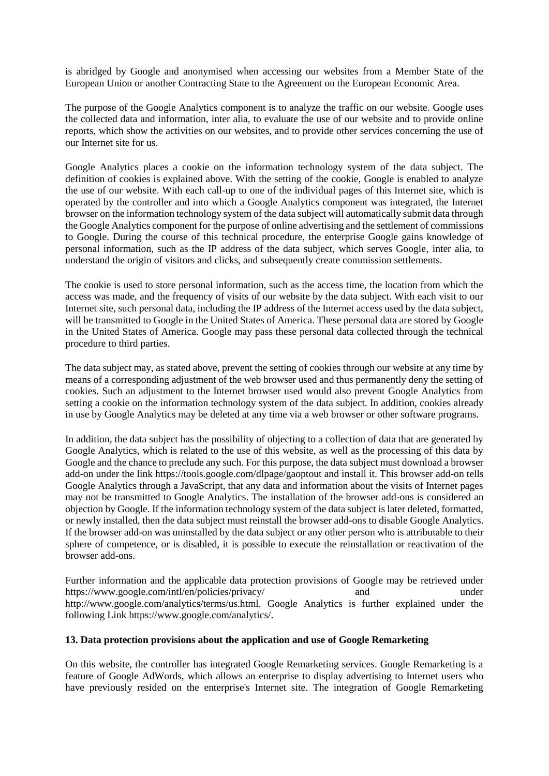is abridged by Google and anonymised when accessing our websites from a Member State of the European Union or another Contracting State to the Agreement on the European Economic Area.

The purpose of the Google Analytics component is to analyze the traffic on our website. Google uses the collected data and information, inter alia, to evaluate the use of our website and to provide online reports, which show the activities on our websites, and to provide other services concerning the use of our Internet site for us.

Google Analytics places a cookie on the information technology system of the data subject. The definition of cookies is explained above. With the setting of the cookie, Google is enabled to analyze the use of our website. With each call-up to one of the individual pages of this Internet site, which is operated by the controller and into which a Google Analytics component was integrated, the Internet browser on the information technology system of the data subject will automatically submit data through the Google Analytics component for the purpose of online advertising and the settlement of commissions to Google. During the course of this technical procedure, the enterprise Google gains knowledge of personal information, such as the IP address of the data subject, which serves Google, inter alia, to understand the origin of visitors and clicks, and subsequently create commission settlements.

The cookie is used to store personal information, such as the access time, the location from which the access was made, and the frequency of visits of our website by the data subject. With each visit to our Internet site, such personal data, including the IP address of the Internet access used by the data subject, will be transmitted to Google in the United States of America. These personal data are stored by Google in the United States of America. Google may pass these personal data collected through the technical procedure to third parties.

The data subject may, as stated above, prevent the setting of cookies through our website at any time by means of a corresponding adjustment of the web browser used and thus permanently deny the setting of cookies. Such an adjustment to the Internet browser used would also prevent Google Analytics from setting a cookie on the information technology system of the data subject. In addition, cookies already in use by Google Analytics may be deleted at any time via a web browser or other software programs.

In addition, the data subject has the possibility of objecting to a collection of data that are generated by Google Analytics, which is related to the use of this website, as well as the processing of this data by Google and the chance to preclude any such. For this purpose, the data subject must download a browser add-on under the link https://tools.google.com/dlpage/gaoptout and install it. This browser add-on tells Google Analytics through a JavaScript, that any data and information about the visits of Internet pages may not be transmitted to Google Analytics. The installation of the browser add-ons is considered an objection by Google. If the information technology system of the data subject is later deleted, formatted, or newly installed, then the data subject must reinstall the browser add-ons to disable Google Analytics. If the browser add-on was uninstalled by the data subject or any other person who is attributable to their sphere of competence, or is disabled, it is possible to execute the reinstallation or reactivation of the browser add-ons.

Further information and the applicable data protection provisions of Google may be retrieved under https://www.google.com/intl/en/policies/privacy/ and under http://www.google.com/analytics/terms/us.html. Google Analytics is further explained under the following Link https://www.google.com/analytics/.

## **13. Data protection provisions about the application and use of Google Remarketing**

On this website, the controller has integrated Google Remarketing services. Google Remarketing is a feature of Google AdWords, which allows an enterprise to display advertising to Internet users who have previously resided on the enterprise's Internet site. The integration of Google Remarketing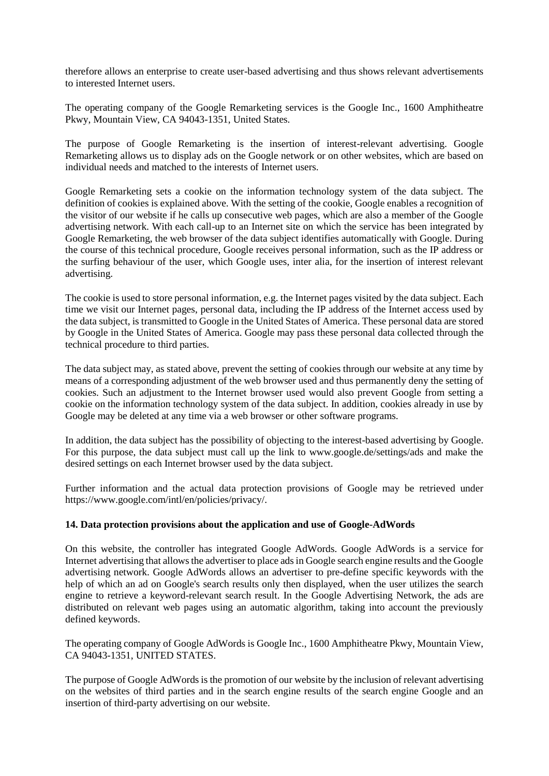therefore allows an enterprise to create user-based advertising and thus shows relevant advertisements to interested Internet users.

The operating company of the Google Remarketing services is the Google Inc., 1600 Amphitheatre Pkwy, Mountain View, CA 94043-1351, United States.

The purpose of Google Remarketing is the insertion of interest-relevant advertising. Google Remarketing allows us to display ads on the Google network or on other websites, which are based on individual needs and matched to the interests of Internet users.

Google Remarketing sets a cookie on the information technology system of the data subject. The definition of cookies is explained above. With the setting of the cookie, Google enables a recognition of the visitor of our website if he calls up consecutive web pages, which are also a member of the Google advertising network. With each call-up to an Internet site on which the service has been integrated by Google Remarketing, the web browser of the data subject identifies automatically with Google. During the course of this technical procedure, Google receives personal information, such as the IP address or the surfing behaviour of the user, which Google uses, inter alia, for the insertion of interest relevant advertising.

The cookie is used to store personal information, e.g. the Internet pages visited by the data subject. Each time we visit our Internet pages, personal data, including the IP address of the Internet access used by the data subject, is transmitted to Google in the United States of America. These personal data are stored by Google in the United States of America. Google may pass these personal data collected through the technical procedure to third parties.

The data subject may, as stated above, prevent the setting of cookies through our website at any time by means of a corresponding adjustment of the web browser used and thus permanently deny the setting of cookies. Such an adjustment to the Internet browser used would also prevent Google from setting a cookie on the information technology system of the data subject. In addition, cookies already in use by Google may be deleted at any time via a web browser or other software programs.

In addition, the data subject has the possibility of objecting to the interest-based advertising by Google. For this purpose, the data subject must call up the link to www.google.de/settings/ads and make the desired settings on each Internet browser used by the data subject.

Further information and the actual data protection provisions of Google may be retrieved under https://www.google.com/intl/en/policies/privacy/.

#### **14. Data protection provisions about the application and use of Google-AdWords**

On this website, the controller has integrated Google AdWords. Google AdWords is a service for Internet advertising that allows the advertiser to place ads in Google search engine results and the Google advertising network. Google AdWords allows an advertiser to pre-define specific keywords with the help of which an ad on Google's search results only then displayed, when the user utilizes the search engine to retrieve a keyword-relevant search result. In the Google Advertising Network, the ads are distributed on relevant web pages using an automatic algorithm, taking into account the previously defined keywords.

The operating company of Google AdWords is Google Inc., 1600 Amphitheatre Pkwy, Mountain View, CA 94043-1351, UNITED STATES.

The purpose of Google AdWords is the promotion of our website by the inclusion of relevant advertising on the websites of third parties and in the search engine results of the search engine Google and an insertion of third-party advertising on our website.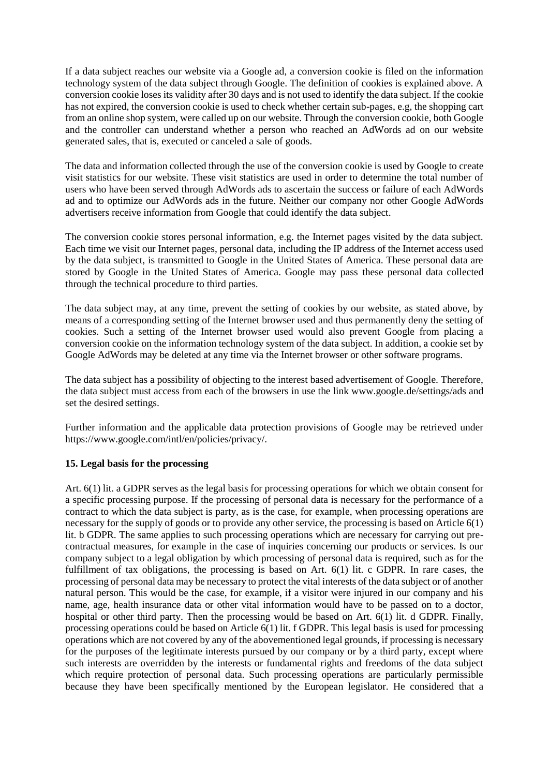If a data subject reaches our website via a Google ad, a conversion cookie is filed on the information technology system of the data subject through Google. The definition of cookies is explained above. A conversion cookie loses its validity after 30 days and is not used to identify the data subject. If the cookie has not expired, the conversion cookie is used to check whether certain sub-pages, e.g, the shopping cart from an online shop system, were called up on our website. Through the conversion cookie, both Google and the controller can understand whether a person who reached an AdWords ad on our website generated sales, that is, executed or canceled a sale of goods.

The data and information collected through the use of the conversion cookie is used by Google to create visit statistics for our website. These visit statistics are used in order to determine the total number of users who have been served through AdWords ads to ascertain the success or failure of each AdWords ad and to optimize our AdWords ads in the future. Neither our company nor other Google AdWords advertisers receive information from Google that could identify the data subject.

The conversion cookie stores personal information, e.g. the Internet pages visited by the data subject. Each time we visit our Internet pages, personal data, including the IP address of the Internet access used by the data subject, is transmitted to Google in the United States of America. These personal data are stored by Google in the United States of America. Google may pass these personal data collected through the technical procedure to third parties.

The data subject may, at any time, prevent the setting of cookies by our website, as stated above, by means of a corresponding setting of the Internet browser used and thus permanently deny the setting of cookies. Such a setting of the Internet browser used would also prevent Google from placing a conversion cookie on the information technology system of the data subject. In addition, a cookie set by Google AdWords may be deleted at any time via the Internet browser or other software programs.

The data subject has a possibility of objecting to the interest based advertisement of Google. Therefore, the data subject must access from each of the browsers in use the link www.google.de/settings/ads and set the desired settings.

Further information and the applicable data protection provisions of Google may be retrieved under https://www.google.com/intl/en/policies/privacy/.

# **15. Legal basis for the processing**

Art. 6(1) lit. a GDPR serves as the legal basis for processing operations for which we obtain consent for a specific processing purpose. If the processing of personal data is necessary for the performance of a contract to which the data subject is party, as is the case, for example, when processing operations are necessary for the supply of goods or to provide any other service, the processing is based on Article 6(1) lit. b GDPR. The same applies to such processing operations which are necessary for carrying out precontractual measures, for example in the case of inquiries concerning our products or services. Is our company subject to a legal obligation by which processing of personal data is required, such as for the fulfillment of tax obligations, the processing is based on Art. 6(1) lit. c GDPR. In rare cases, the processing of personal data may be necessary to protect the vital interests of the data subject or of another natural person. This would be the case, for example, if a visitor were injured in our company and his name, age, health insurance data or other vital information would have to be passed on to a doctor, hospital or other third party. Then the processing would be based on Art. 6(1) lit. d GDPR. Finally, processing operations could be based on Article  $6(1)$  lit. f GDPR. This legal basis is used for processing operations which are not covered by any of the abovementioned legal grounds, if processing is necessary for the purposes of the legitimate interests pursued by our company or by a third party, except where such interests are overridden by the interests or fundamental rights and freedoms of the data subject which require protection of personal data. Such processing operations are particularly permissible because they have been specifically mentioned by the European legislator. He considered that a